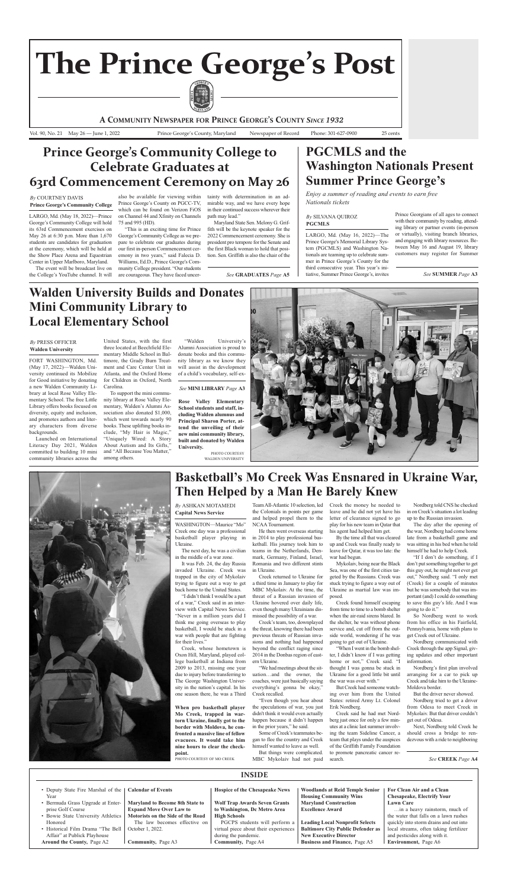Fort Washington, Md. (May 17, 2022)—Walden University continued its Mobilize for Good initiative by donating a new Walden community library at local Rose Valley Elementary School. The free Little library offers books focused on diversity, equity and inclusion, and promotes authors and literary characters from diverse backgrounds.

Launched on International Literacy Day 2021, Walden committed to building 10 mini community libraries across the United States, with the first three located at Beechfield Elementary Middle school in Baltimore, the Grady Burn Treatment and Care Center Unit in Atlanta, and the Oxford Home for Children in Oxford, North carolina.

To support the mini community library at Rose Valley Elementary, Walden's Alumni Association also donated \$1,000, which went towards nearly 90 books. These uplifting books include, "My hair is Magic," "Uniquely Wired: A Story About Autism and Its Gifts," and "All Because You Matter," among others.

"Walden University's Alumni Association is proud to donate books and this community library as we know they will assist in the development of a child's vocabulary, self-ex-

also be available for viewing within Prince George's County on PGCC-TV, which can be found on verizon Fios on channel 44 and Xfinity on channels 75 and 995 (HD).

"This is an exciting time for Prince" George's Community College as we prepare to celebrate our graduates during our first in-person commencement ceremony in two years," said Falecia D. Williams, Ed.D., Prince George's Community College president. "Our students are courageous. They have faced uncer-

> Washington—Maurice "Mo" creek one day was a professional basketball player playing in in 2014 to play professional bas-Ukraine.

The next day, he was a civilian in the middle of a war zone.

It was Feb. 24, the day Russia invaded ukraine. creek was trapped in the city of Mykolaiv trying to figure out a way to get back home to the United States.

"I didn't think I would be a part of a war," creek said in an interview with Capital News Service. "Never in a million years did I think me going overseas to play basketball, i would be stuck in a war with people that are fighting for their lives."

creek, whose hometown is oxon hill, Maryland, played college basketball at Indiana from 2009 to 2013, missing one year due to injury before transferring to The George Washington University in the nation's capital. In his one season there, he was a Third

Creek returned to Ukraine for a third time in January to play for MBC Mykolaiv. At the time, the threat of a Russian invasion of Ukraine hovered over daily life, even though many Ukrainians dismissed the possibility of a war.

Creek's team, too, downplayed the threat, knowing there had been previous threats of Russian invasions and nothing had happened beyond the conflict raging since 2014 in the Donbas region of eastern Ukraine.

tainty with determination in an admirable way, and we have every hope in their continued success wherever their path may lead."

Maryland State Sen. Melony G. Griffith will be the keynote speaker for the 2022 commencement ceremony. she is president pro tempore for the senate and the first Black woman to hold that position. Sen. Griffith is also the chair of the

> "Even though you hear about the speculations of war, you just didn't think it would even actually happen because it didn't happen in the prior years," he said.

Some of Creek's teammates began to flee the country and creek himself wanted to leave as well. But things were complicated. MBc Mykolaiv had not paid

creek found himself escaping from time to time to a bomb shelter when the air-raid sirens blared. in the shelter, he was without phone service and, cut off from the outside world, wondering if he was going to get out of Ukraine.

"When I went in the bomb shelter, I didn't know if I was getting home or not," Creek said. "I thought I was gonna be stuck in Ukraine for a good little bit until the war was over with."

But Creek had someone watching over him from the United States: retired Army Lt. Colonel Erik Nordberg.

Creek said he had met Nordberg just once for only a few minutes at a clinic last summer involving the team sideline cancer, a team that plays under the auspices of the griffith Family Foundation to promote pancreatic cancer research.

Nordberg told CNS he checked in on Creek's situation a lot leading up to the Russian invasion.

The day after the opening of the war, Nordberg had come home late from a basketball game and wassitting in his bed when he told himself he had to help Creek.

"If I don't do something, if I don't put something together to get this guy out, he might not ever get out," Nordberg said. "I only met (creek) for a couple of minutes but he was somebody that was important (and) I could do something to save this guy's life. And I was going to do it."

So Nordberg went to work from his office in his Fairfield, pennsylvania, home with plans to get Creek out of Ukraine.

Nordberg communicated with creek through the app signal, giving updates and other important information.

Nordberg's first plan involved arranging for a car to pick up Creek and take him to the Ukraine-Moldova border.

Next, Nordberg told Creek he should cross a bridge to rendezvous with a ride to neighboring

"We had meetings about the situation…and the owner, the coaches, were just basically saying everything's gonna be okay,' creek recalled.

creek the money he needed to leave and he did not yet have his letter of clearance signed to go play for his new team in Qatar that his agent had helped him get.

By the time all that was cleared up and creek was finally ready to leave for Oatar, it was too late: the war had begun.

Prince Georgians of all ages to connect with their community by reading, attending library or partner events (in-person or virtually), visiting branch libraries, and engaging with library resources. Between May 16 and August 19, library customers may register for summer

Mykolaiv, being near the Black sea, was one of the first cities targeted by the Russians. Creek was stuck trying to figure a way out of Ukraine as martial law was imposed.

But the driver never showed.

Nordberg tried to get a driver from Odesa to meet Creek in Mykolaiv. But that driver couldn't get out of Odesa.

Vol. 90, No. 21 May 26 — June 1, 2022 Prince George's County, Maryland Newspaper of Record Phone: 301-627-0900 25 cents

**A COMMUNITY NEWSPAPER FOR PRINCE GEORGE'S COUNTY** *SINCE 1932*



**Basketball's mo Creek Was Ensnared in Ukraine War,**



### **then Helped by a man He Barely knew**

| <b>INSIDE</b>                             |                                        |                                       |                                                               |                                                       |  |  |
|-------------------------------------------|----------------------------------------|---------------------------------------|---------------------------------------------------------------|-------------------------------------------------------|--|--|
| • Deputy State Fire Marshal of the        | <b>Calendar of Events</b>              | <b>Hospice of the Chesapeake News</b> | <b>Woodlands at Reid Temple Senior</b>                        | For Clean Air and a Clean                             |  |  |
| Year<br>• Bermuda Grass Upgrade at Enter- | <b>Maryland to Become 8th State to</b> | <b>Wolf Trap Awards Seven Grants</b>  | <b>Housing Community Wins</b><br><b>Maryland Construction</b> | <b>Chesapeake, Electrify Your</b><br><b>Lawn Care</b> |  |  |
| prise Golf Course                         | <b>Expand Move Over Law to</b>         | to Washington, Dc Metro Area          | <b>Excellence Award</b>                                       | in a heavy rainstorm, much of                         |  |  |
| • Bowie State University Athletics        | Motorists on the Side of the Road      | <b>High Schools</b>                   |                                                               | the water that falls on a lawn rushes                 |  |  |
| Honored                                   | The law becomes effective on           | PGCPS students will perform a         | <b>Leading Local Nonprofit Selects</b>                        | quickly into storm drains and out into                |  |  |
| • Historical Film Drama "The Bell         | October 1, 2022.                       | virtual piece about their experiences | <b>Baltimore City Public Defender as</b>                      | local streams, often taking fertilizer                |  |  |
| Affair" at Publick Playhouse              |                                        | during the pandemic.                  | <b>New Executive Director</b>                                 | and pesticides along with it.                         |  |  |
| Around the County, Page A2                | <b>Community, Page A3</b>              | <b>Community, Page A4</b>             | <b>Business and Finance, Page A5</b>                          | <b>Environment</b> , Page A6                          |  |  |

**When pro basketball player mo Creek, trapped in wartorn Ukraine, finally got to the border with moldova, he confronted a massive line of fellow evacuees. it would take him nine hours to clear the checkpoint.**

photo courtesy oF Mo creeK

Team All-Atlantic 10 selection, led the colonials in points per game and helped propel them to the NCAA Tournament.

He then went overseas starting ketball. his journey took him to teams in the Netherlands, Denmark, Germany, Finland, Israel, Romania and two different stints in Ukraine.

### *By* ashKan MotaMedi **Capital News Service**

### *See* **GRADUAtES** *Page* **A5**

*See* **CREEk** *Page* **A4**

*See* **miNi LiBRARy** *Page* **A3**

*By* courtney davis **Prince George's Community College**

LARGO, Md. (May 18, 2022)—Prince George's Community College will hold its 63rd commencement exercises on May 26 at 6:30 p.m. More than 1,670 students are candidates for graduation at the ceremony, which will be held at the Show Place Arena and Equestrian Center in Upper Marlboro, Maryland.

The event will be broadcast live on the College's YouTube channel. It will

### **Prince George's Community College to Celebrate Graduates at 63rd Commencement Ceremony on May 26**

### *By* press oFFicer **Walden University**

### **Walden University Builds and Donates mini Community Library to Local Elementary School**

### *By* silvana Quiroz **PGCmLS**

LARGO, Md. (May 16, 2022)—The Prince George's Memorial Library System (PGCMLS) and Washington Nationals are teaming up to celebrate summer in prince george's county for the third consecutive year. This year's initiative, Summer Prince George's, invites

### **PGCmLS and the Washington Nationals Present Summer Prince George's**

*Enjoy a summer of reading and events to earn free Nationals tickets*

### *See* **SUmmER** *Page* **A3**

**Rose Valley Elementary School students and staff, including Walden alumnus and Principal Sharon Porter, attend the unveiling of their new mini community library, built and donated by Walden University.**

PHOTO COURTESY WALDEN UNIVERSITY

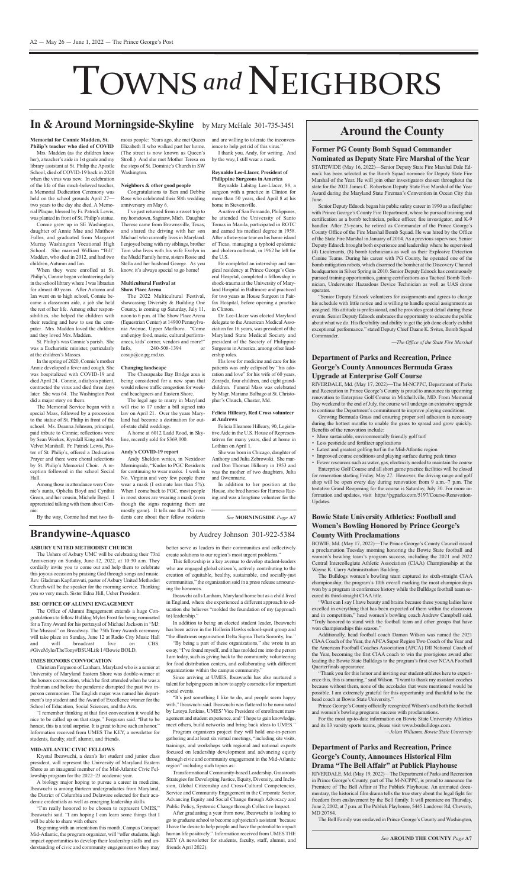### **Former PG County Bomb Squad Commander Nominated as Deputy State Fire marshal of the year**

STATEWIDE (May 16, 2022)—Senior Deputy State Fire Marshal Dale Ednock has been selected as the Bomb Squad nominee for Deputy State Fire Marshal of the Year. He will join other investigators chosen throughout the state for the 2021 James C. Robertson Deputy State Fire Marshal of the Year Award during the Maryland State Fireman's Convention in Ocean City this June.

Senior Deputy Ednock began his public safety career in 1990 as a firefighter with Prince George's County Fire Department, where he pursued training and certification as a bomb technician, police officer, fire investigator, and K-9 handler. After 23-years, he retired as Commander of the Prince George's county office of the Fire Marshal Bomb squad. he was hired by the office of the State Fire Marshal in January of 2014. As a previous supervisor, Senior Deputy Ednock brought both experience and leadership where he supervised  $(4)$  Lieutenants,  $(8)$  bomb technicians as well as their Explosive Detection Canine Teams. During his career with PG County, he operated one of the bomb mitigation robots, which disarmed the bomber at the Discovery Channel headquarters in Silver Spring in 2010. Senior Deputy Ednock has continuously pursued training opportunities, gaining certifications as a Tactical Bomb Technician, Underwater Hazardous Device Technician as well as UAS drone operator.

"Senior Deputy Ednock volunteers for assignments and agrees to change his schedule with little notice and is willing to handle special assignments as assigned. his attitude is professional, and he provides great detail during these events. Senior Deputy Ednock embraces the opportunity to educate the public about what we do. His flexibility and ability to get the job done clearly exhibit exceptional performance." stated Deputy Chief Duane K. Svites, Bomb Squad commander.

Growing Bermuda Grass and ensuring proper soil adhesion is necessary during the hottest months to enable the grass to spread and grow quickly. Benefits of the renovation include:

- More sustainable, environmentally friendly golf turf
- less pesticide and fertilizer applications
- Latest and greatest golfing turf in the Mid-Atlantic region
- improved course conditions and playing surface during peak times
- Fewer resources such as water, gas, electricity needed to maintain the course

Enterprise Golf Course and all short game practice facilities will be closed for renovation starting Friday, May 27. however, the driving range and golf shop will be open every day during renovation from 9 a.m.–7 p.m. The tentative Grand Reopening for the course is Saturday, July 30. For more information and updates, visit https://pgparks.com/5197/Course-Renovation-Updates.

*—The Office of the State Fire Marshal*

### **Department of Parks and Recreation, Prince George's County Announces Bermuda Grass Upgrade at Enterprise Golf Course**

RIVERDALE, Md. (May 17, 2022)—The M-NCPPC, Department of Parks and Recreation in Prince George's County is proud to announce its upcoming renovation to Enterprise Golf Course in Mitchellville, MD. From Memorial Day weekend to the end of July, the course will undergo an extensive upgrade to continue the Department's commitment to improve playing conditions.

"What can I say I have beauty and brains because these young ladies have excelled in everything that has been expected of them within the classroom and in competition," head women's bowling coach andrew campbell said. "Truly honored to stand with the football team and other groups that have won championships this season."

Additionally, head football coach Damon Wilson was named the 2021 CIAA Coach of the Year, the AFCA Super Region Two Coach of the Year and the American Football Coaches Association (AFCA) DII National Coach of the Year, becoming the first CIAA coach to win the prestigious award after leading the Bowie State Bulldogs to the program's first ever NCAA Football Quarterfinals appearance.

"Thank you for this honor and inviting our student-athletes here to experience this, this is amazing," said Wilson. "I want to thank my assistant coaches because without them, none of the accolades that were mentioned would be possible. I am extremely grateful for this opportunity and thankful to be the head coach at Bowie State University."

Prince George's County officially recognized Wilson's and both the football and women's bowling programs success with proclamations.

For the most up-to-date information on Bowie State University Athletics and its 13 varsity sports teams, please visit www.bsubulldogs.com.

### **Bowie State University Athletics: Football and Women's Bowling Honored by Prince George's County With Proclamations**

BOWIE, Md. (May 17, 2022)—The Prince George's County Council issued a proclamation tuesday morning honoring the Bowie state football and women's bowling team's program success, including the 2021 and 2022 central intercollegiate athletic association (ciaa) championship at the Wayne K. Curry Administration Building.

The Bulldogs women's bowling team captured its sixth-straight CIAA championship; the program's 10th overall marking the most championships won by a program in conference history while the Bulldogs football team secured its third-straight CIAA title.

christian Ferguson of lanham, Maryland who is a senior at University of Maryland Eastern Shore was double-winner at the honors convocation, which he first attended when he was a freshman and before the pandemic disrupted the past two inperson ceremonies. The English major was named his department's top student and the Award of Excellence winner for the School of Education, Social Sciences, and the Arts.

"I'm really honored to be chosen to represent UMES," Ibeawuchi said. "I am hoping I can learn some things that I will be able to share with others

This fellowship is a key avenue to develop student-leaders who are engaged global citizen's, actively contributing to the creation of equitable, healthy, sustainable, and socially-just communities," the organization said in a press release announcing the honorees.

Since arriving at UMES, Ibeawuchi has also nurtured a talent for helping peers in how to apply cosmetics for important social events.

"It's just something I like to do, and people seem happy with," Ibeawuchi said. Ibeawuchi was flattered to be nominated by Latoya Jenkins, UMES' Vice President of enrollment management and student experience, and "I hope to gain knowledge, meet others, build networks and bring back ideas to UMES."

*—Jolisa Williams, Bowie State University*

### **Department of Parks and Recreation, Prince George's County, Announces Historical Film Drama "the Bell Affair" at Publick Playhouse**

RIVERDALE, Md. (May 19, 2022)—The Department of Parks and Recreation in Prince George's County, part of The M-NCPPC, is proud to announce the Premiere of The Bell Affair at The Publick Playhouse. An animated documentary, the historical film drama tells the true story about the legal fight for freedom from enslavement by the Bell family. It will premiere on Thursday, June 2, 2002, at 7 p.m. at The Publick Playhouse, 5445 Landover Rd, Cheverly, MD 20784.

The Bell Family was enslaved in Prince George's County and Washington,

after graduating a year from now, ibeawuchi is looking to go to graduate school to become a physician's assistant "because i have the desire to help people and have the potential to impact human life positively." Information received from UMES THE KEY (A newsletter for students, faculty, staff, alumni, and friends April 2022).

Mrs. Madden (as the children knew her), a teacher's aide in 1st grade and my library assistant at St. Philip the Apostle School, died of COVID-19 back in 2020 when the virus was new. in celebration of the life of this much-beloved teacher, a Memorial Dedication Ceremony was held on the school grounds April 27 two years to the day she died. A Memorial plaque, blessed by Fr. patrick lewis, was planted in front of St. Philip's statue.

Connie grew up in SE Washington, daughter of Annie Mae and Matthew Fuller, and graduated from Margaret Murray Washington Vocational High school. she married William "Bill" Madden, who died in 2012, and had two children, Autumn and Ian.

# TOWNS and NEIGHBORS

*See* **AROUND tHE COUNty** *Page* **A7**

### **Around the County**

### **in & Around morningside-Skyline** by Mary Mchale 301-735-3451

When they were enrolled at St. philip's, connie began volunteering daily in the school library where I was librarian for almost 40 years. After Autumn and Ian went on to high school, Connie became a classroom aide, a job she held the rest of her life. Among other responsibilities, she helped the children with their reading and how to use the computer. Mrs. Madden loved the children and they loved Mrs. Madden.

#### **ASBURy UNitED mEtHODiSt CHURCH**

The Ushers of Asbury UMC will be celebrating their 73rd Anniversary on Sunday, June 12, 2022, at 10:30 a.m. They cordially invite you to come out and help them to celebrate this joyous occasion by praising God through songs and music. Rev. Gladman Kapfumvuti, pastor of Asbury United Methodist Church will be the speaker for the morning service. Thanking you so very much. Sister Edna Hill, Usher President.

In the spring of 2020, Connie's mother Annie developed a fever and cough. She was hospitalized with COVID-19 and died April 24. Connie, a dialysis patient, contracted the virus and died three days later. She was 64. The Washington Post did a major story on them.

The Memorial Service began with a special Mass, followed by a procession to the statue of st. philip in front of the school. Ms. Deanna Johnson, principal, paid tribute to connie; reflections were by sean Weekes, Kyndall King and Mrs. velvet Marshall. Fr. patrick lewis, pastor of St. Philip's, offered a Dedication prayer and there were choral selections by St. Philip's Memorial Choir. A reception followed in the school social hall.

Among those in attendance were Con-

### **BSU OFFiCE OFALUmNi ENGAGEmENt**

The Office of Alumni Engagement extends a huge Congratulations to fellow Bulldog Myles Frost for being nominated for a Tony Award for his portrayal of Michael Jackson in "MJ: The Musical" on Broadway. The 75th Tony Awards ceremony will take place on Sunday, June 12 at Radio City Music Hall and will broadcast live on cBs. #GiveMylesTheTony#BSU4Life l #Bowie BOLD.

Congratulations to Ben and Debbie Rose who celebrated their 50th wedding anniversary on May 6.

### **UmES HONORS CONVOCAtiON**

The 2022 Multicultural Festival, showcasing Diversity  $&$  Building One county, is coming up saturday, July 11, noon to 6 p.m. at The Show Place Arena (Equestrian Center) at 14900 Pennsylvania avenue, upper Marlboro. "come and enjoy food, music, cultural performances, kids' corner, vendors and more!" info, 240-508-1394 or cosuji@co.pg.md.us.

The legal age to marry in Maryland will rise to 17 under a bill signed into law on April 21. Over the years Maryland had become a destination for outof-state child weddings.

A home at 6012 Ladd Road, in Skyline, recently sold for \$369,000.

Andy Sheldon writes, in Nextdoor Morningside, "Kudos to PGC Residents for continuing to wear masks. I work in No. Virginia and very few people there wear a mask (I estimate less than 5%). When I come back to PGC, most people in most stores are wearing a mask (even though the signs requiring them are mostly gone). It tells me that PG residents care about their fellow residents

"i remember thinking at that first convocation it would be nice to be called up on that stage," Ferguson said. "But to be honest, this is a total surprise. It is great to have such an honor." Information received from UMES The KEY, a newsletter for students, faculty, staff, alumni, and friends.

#### **miD-AtLANtiC CiViC FELLOWS**

Krystal ibeawuchi, a dean's list student and junior class president, will represent the University of Maryland Eastern shore as an inaugural member of the Mid-atlantic civic Fellowship program for the 2022–23 academic year.

He completed an internship and surgical residency at Prince George's General hospital, completed a fellowship in shock-trauma at the University of Maryland Hospital in Baltimore and practiced for two years as House Surgeon in Fairfax hospital, before opening a practice in clinton.

a biology major hoping to pursue a career in medicine, Ibeawuchi is among thirteen undergraduates from Maryland, the District of Columbia and Delaware selected for their academic credentials as well as emerging leadership skills.

Dr. Lee-Llacer was elected Maryland delegate to the American Medical Association for 16 years, was president of the Maryland state Medical society and president of the society of philippine Surgeons in America, among other leadership roles.

His love for medicine and care for his patients was only eclipsed by "his adoration and love" for his wife of 60 years, zorayda, four children, and eight grandchildren. Funeral Mass was celebrated by Msgr. Mariano Balbago at St. Christopher's church, chester, Md.

she was born in chicago, daughter of Anthony and Julia Zebrowski. She married Don Thomas Hilleary in 1953 and was the mother of two daughters, Julia and Gwenmarie.

In addition to her position at the

Beginning with an orientation this month, campus compact Mid-Atlantic, the program organizer, will "offer students, high impact opportunities to develop their leadership skills and understanding of civic and community engagement so they may House, she bred horses for Harness Racing and was a longtime volunteer for the

better serve as leaders in their communities and collectively create solutions to our region's most urgent problems."

ibeawchi calls lanham, Maryland home but as a child lived in England, where she experienced a different approach to education she believes "molded the foundation of my (approach to) leadership."

In addition to being an elected student leader, Ibeawuchi has been active in the Hollerin Hawks school-spirit group and "the illustrious organization Delta Sigma Theta Sorority, Inc."

"By being a part of these organizations," she wrote in an essay, "i've found myself, and it has molded me into the person I am today, such as giving back to the community, volunteering for food distribution centers, and collaborating with different organizations within the campus community."

program organizers project they will hold one-in-person gathering and at least six virtual meetings, "including site visits, trainings, and workshops with regional and national experts focused on leadership development and advancing equity through civic and community engagement in the Mid-Atlantic region" including such topics as:

Transformational Community-based Leadership, Grassroots Strategies for Developing Justice, Equity, Diversity, and Inclusion, Global Citizenship and Cross-Cultural Competencies, Service and Community Engagement in the Corporate Sector, Advancing Equity and Social Change through Advocacy and Public Policy, Systemic Change through Collective Impact.

**memorial for Connie madden, St. Philip's teacher who died of COViD**

st. philip's was connie's parish. she was a Eucharistic minister, particularly at the children's Masses.

nie's aunts, ophelia Boyd and cynthia Green, and her cousin, Michele Boyd. I appreciated talking with them about Connie.

By the way, connie had met two fa-

### Brandywine-Aquasco<br>
by Audrey Johnson 301-922-5384

mous people: years ago, she met Queen Elizabeth II who walked past her home. (The street is now known as Queen's Stroll.) And she met Mother Teresa on the steps of St. Dominic's Church in SW Washington.

#### **Neighbors & other good people**

i've just returned from a sweet trip to my hometown, Saginaw, Mich. Daughter Therese came from Brownsville, Texas, and shared the driving with her son Michael who currently lives in Maryland. i enjoyed being with my siblings, brother Tom who lives with his wife Evelyn in the Mudd Family home, sisters Rosie and Stella and her husband George. As you know, it's always special to go home!

### **multicultural Festival at Show Place Arena**

#### **Changing landscape**

The Chesapeake Bay Bridge area is being considered for a new span that would relieve traffic congestion for weekend beachgoers and Eastern Shore.

#### **Andy's COViD-19 report**

and are willing to tolerate the inconvenience to help get rid of this virus."

I thank you, Andy, for writing. And by the way, I still wear a mask.

### **Reynaldo Lee-Llacer, President of Philippine Surgeons in America**

Reynaldo Labitag Lee-Llacer, 88, a surgeon with a practice in clinton for more than 50 years, died april 8 at his home in Stevensville.

A native of San Fernando, Philippines, he attended the University of Santo Tomas in Manila, participated in ROTC and earned his medical degree in 1958. After a three-year tour on his home island of Ticao, managing a typhoid epidemic and cholera outbreak, in 1962 he left for the U.S.

### **Felicia Hilleary, Red Cross volunteer at Andrews**

Felicia Eleanore Hilleary, 90, Legislative Aide in the U.S. House of Representatives for many years, died at home in Lothian on April 1.

### *See* **mORNiNGSiDE** *Page* **A7**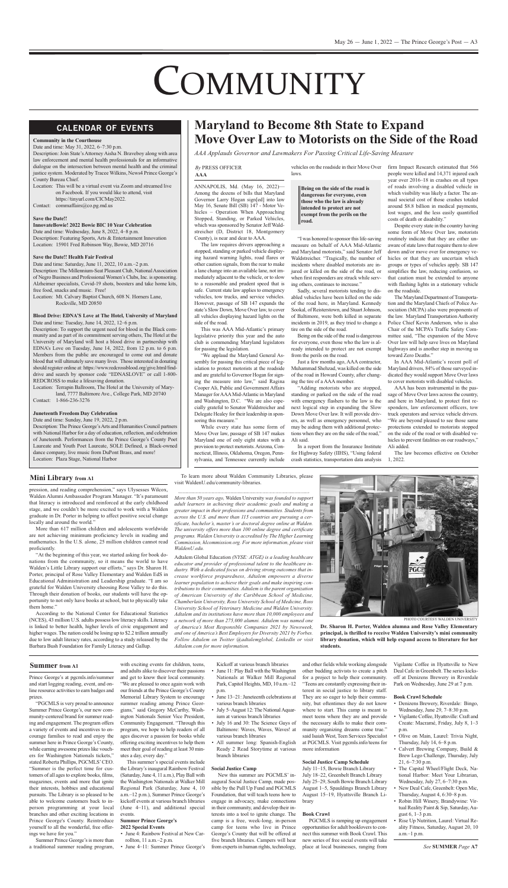Prince George's at pgcmls.info/summer and start logging reading, event, and online resource activities to earn badges and prizes.

Summer Prince George's is more than a traditional summer reading program,

"pgcMls is very proud to announce Summer Prince George's, our new community-centered brand for summer reading and engagement. The program offers a variety of events and incentives to encourage families to read and enjoy the summer here in Prince George's County, while earning awesome prizes like vouchers for Washington Nationals tickets," stated Roberta Phillips, PGCMLS' CEO. "summer is the perfect time for customers of all ages to explore books, films, magazines, events and more that ignite their interests, hobbies and educational pursuits. The Library is so pleased to be able to welcome customers back to inperson programming at your local branches and other exciting locations in Prince George's County. Reintroduce yourself to all the wonderful, free offerings we have for you."

- June 11: Play Ball with the Washington Nationals at Walker Mill Regional Park, Capitol Heights, MD, 10 a.m.-12 p.m.
- June 13-21: Juneteenth celebrations at various branch libraries
- July 5-August 12: The National Aquarium at various branch libraries
- July 16 and 30: The Science Guys of Baltimore: Waves, Waves, Waves! at various branch libraries
- All summer long: Spanish-English Ready 2 Read Storytime at various branch libraries

with exciting events for children, teens, and adults alike to discover their passions and get to know their local community. "We are pleased to once again work with our friends at the Prince George's County Memorial Library System to encourage summer reading among Prince Georgians," said gregory Mccarthy, Washington Nationals Senior Vice President, Community Engagement. "Through this program, we hope to help readers of all ages discover a passion for books while offering exciting incentives to help them meet their goal of reading at least 30 min-

utes a day, every day." This summer's special events include the Library's inaugural Rainbow Festival (Saturday, June 4, 11 a.m.), Play Ball with the Washington Nationals at Walker Mill Regional Park (Saturday, June 4, 10 a.m.–12 p.m.), Summer Prince George's kickoff events at various branch libraries (June 4–11), and additional special events.

### **Summer Prince George's 2022 Special Events**

- June 4: Rainbow Festival at New Carrollton, 11 a.m.–2 p.m.
- June 4–11: Summer Prince George's

PGCMLS is ramping up engagement opportunities for adult booklovers to connect this summer with Book Crawl. This new series of free social events will take place at local businesses, ranging from

Vigilante Coffee in Hyattsville to New Deal Cafe in Greenbelt. The series kicksoff at Denizens Brewery in Riverdale park on Wednesday, June 29 at 7 p.m.

Kickoff at various branch libraries

- Denizens Brewery, Riverdale: Bingo, Wednesday, June 29, 7–8:30 p.m.
- vigilante coffee, hyattsville: craft and create: Macramé, Friday, July 8, 1–3 p.m.
- Olive on Main, Laurel: Trivia Night, thursday, July 14, 6–8 p.m.
- Calvert Brewing Company, Build & Brew Lego Challenge, Thursday, July 21, 6–7:30 p.m.
- The Capital Wheel/Flight Deck, National Harbor: Meet Your Librarian, Wednesday, July 27, 6–7:30 p.m.
- New Deal Cafe, Greenbelt: Open Mic, Thursday, August 4, 6:30–8 p.m.
- Robin Hill Winery, Brandywine: Virtual Reality Paint & Sip, Saturday, August 6, 1–3 p.m.
- Rise Up Nutrition, Laurel: Virtual Reality Fitness, Saturday, August 20, 10 a.m.–1 p.m.

annapolis, Md. (May 16, 2022) among the dozens of bills that Maryland Governor Larry Hogan sign[ed] into law May 16, Senate Bill (SB) 147 - Motor Vehicles – Operation When Approaching Stopped, Standing, or Parked Vehicles, which was sponsored by Senator Jeff Waldstreicher (D, District 18, Montgomery County), is near and dear to AAA.

### **Social Justice Camp**

New this summer are PGCMLS' inaugural social Justice camp, made possible by the Pull Up Fund and PGCMLS Foundation, that will teach teens how to engage in advocacy, make connections in their community, and develop their interests into a tool to ignite change. The camp is a free, week-long, in-person camp for teens who live in prince George's County that will be offered at five branch libraries. campers will hear from experts in human rights, technology,

The law requires drivers approaching a stopped, standing or parked vehicle displaying hazard warning lights, road flares or other caution signals, from the rear to make a lane change into an available lane, not immediately adjacent to the vehicle, or to slow to a reasonable and prudent speed that is safe. Current state law applies to emergency vehicles, tow trucks, and service vehicles. however, passage of sB 147 expands the state's Slow Down, Move Over law, to cover all vehicles displaying hazard lights on the side of the road.

This was AAA Mid-Atlantic's primary legislative priority this year and the auto club is commending Maryland legislators for passing the legislation.

"We applaud the Maryland General Assembly for passing this critical piece of legislation to protect motorists at the roadside and are grateful to Governor Hogan for signing the measure into law," said Ragina Cooper Ali, Public and Government Affairs Manager for AAA Mid-Atlantic in Maryland and Washington, D.C. "We are also especially grateful to senator Waldstreicher and Delegate Healey for their leadership in sponsoring this measure."

While every state has some form of Move Over law, passage of SB 147 makes Maryland one of only eight states with a provision to protect motorists. Arizona, Connecticut, illinois, oklahoma, oregon, pennsylvania, and Tennessee currently include

> and other fields while working alongside other budding activists to create a pitch for a project to help their community. "Teens are constantly expressing their interest in social justice to library staff. They are so eager to help their community, but oftentimes they do not know where to start. This camp is meant to meet teens where they are and provide the necessary skills to make their community organizing dreams come true." said Isaiah West, Teen Services Specialist at pgcMls. visit pgcmls.info/teens for more information

vehicles on the roadside in their Move Over firm Impact Research estimated that 566 laws.

"I was honored to sponsor this life-saving measure on behalf of AAA Mid-Atlantic and Maryland motorists," said Senator Jeff Waldstreicher. "Tragically, the number of incidents where disabled motorists are injured or killed on the side of the road, or when first responders are struck while serving others, continues to increase."

### **Social Justice Camp Schedule**

July 11–15, Bowie Branch library July 18-22, Greenbelt Branch Library July 25–29, south Bowie Branch library August 1-5, Spauldings Branch Library august 15–19, hyattsville Branch library

### **Book Crawl**

"Adding motorists who are stopped, standing or parked on the side of the road with emergency flashers to the law is the next logical step in expanding the slow Down Move Over law. It will provide drivers, as well as emergency personnel, who may be aiding them with additional protections when they are on the side of the road," ali said.

In a report from the Insurance Institute for Highway Safety (IIHS), "Using federal crash statistics, transportation data analysis

### **Book Crawl Schedule**

Despite every state in the country having some form of Move Over law, motorists routinely indicate that they are either unaware of state laws that require them to slow down and/or move over for emergency vehicles or that they are uncertain which groups or types of vehicles apply. sB 147 simplifies the law, reducing confusion, so that caution must be extended to anyone with flashing lights in a stationary vehicle on the roadside.

The Maryland Department of Transportation and the Maryland Chiefs of Police Association (MCPA) also were proponents of the law. Maryland Transportation Authority Police Chief Kevin Anderson, who is also Chair of the MCPA's Traffic Safety Committee said, "The expansion of the Move Over law will help save lives on Maryland highways and is another step in moving us toward Zero Deaths."

In AAA Mid-Atlantic's recent poll of Maryland drivers, 84% of those surveyed indicated they would support Move Over laws to cover motorists with disabled vehicles.

AAA has been instrumental in the passage of Move Over laws across the country, and here in Maryland, to protect first responders, law enforcement officers, tow truck operators and service vehicle drivers. "We are beyond pleased to see those same protections extended to motorists stopped on the side of the road or with disabled vehicles to prevent fatalities on our roadways," ali added.

The law becomes effective on October 1, 2022.

pression, and reading comprehension," says Ulysesses Wilcox, Walden Alumni Ambassador Program Manager. "It's paramount that literacy is introduced and reinforced at the early childhood stage, and we couldn't be more excited to work with a Walden graduate in Dr. Porter in helping to affect positive social change locally and around the world."

"At the beginning of this year, we started asking for book donations from the community, so it means the world to have Walden's Little Library support our efforts," says Dr. Sharon H. Porter, principal of Rose Valley Elementary and Walden EdS in Educational Administration and Leadership graduate. "I am so grateful for Walden University choosing Rose Valley to do this. Through their donation of books, our students will have the opportunity to not only have books at school, but to physically take them home."

According to the National Center for Educational Statistics (NCES), 43 million U.S. adults possess low literacy skills. Literacy is linked to better health, higher levels of civic engagement and higher wages. The nation could be losing up to \$2.2 trillion annually due to low adult literacy rates, according to a study released by the Barbara Bush Foundation for Family Literacy and Gallup.

*More than* 50 *years ago*, Walden University *was founded to support adult learners in achieving their academic goals and making a greater impact in their professions and communities. Students from across the U.S. and more than 115 countries are pursuing a certificate, bachelor's, master's or doctoral degree online at Walden. The university offers more than 100 online degree and certificate programs. Walden University is accredited by The Higher Learning Commission, hlcommission.org. For more information, please visit WaldenU.edu.*

Description: Join State's Attorney Aisha N. Braveboy along with area law enforcement and mental health professionals for an informative dialogue on the intersection between mental health and the criminal justice system. Moderated by Tracee Wilkins, News4 Prince George's county Bureau chief.

Location: This will be a virtual event via Zoom and streamed live on Facebook. if you would like to attend, visit https://tinyurl.com/cicMay2022. contact: commaffairs@co.pg.md.us

**innovateBowie! 2022 Bowie BiC 10 year Celebration** Date and time: Wednesday, June 8, 2022, 4–8 p.m. Description: Featuring Sports, Arts & Entertainment Innovation Location: 15901 Fred Robinson Way, Bowie, MD 20716

> sadly, several motorists tending to disabled vehicles have been killed on the side of the road here, in Maryland. Kennedy Sookal, of Reisterstown, and Stuart Johnson, of Baltimore, were both killed in separate incidents in 2019, as they tried to change a tire on the side of the road.

> Being on the side of the road is dangerous for everyone, even those who the law is already intended to protect are not exempt from the perils on the road.

> Just a few months ago, AAA contractor, Muhammad shehzad, was killed on the side of the road in howard county, after changing the tire of a AAA member.

Date and time: Saturday, June 11, 2022, 10 a.m.–2 p.m. Description: The Millennium-Seat Pleasant Club, National Association of Negro Business and Professional Women's Clubs, Inc. is sponsoring. alzheimer specialists, covid-19 shots, boosters and take home kits, free food, snacks and music. Free!

Location: Mt. Calvary Baptist Church, 608 N. Horners Lane, Rockville, MD 20850

### **Blood Drive: EDNA'S Love at the Hotel, University of maryland** Date and time: Tuesday, June 14, 2022, 12-6 p.m.

Description: To support the urgent need for blood in the Black community and as part of its commitment serving others, The Hotel at the University of Maryland will host a blood drive in partnership with EDNA's Love on Tuesday, June 14, 2022, from 12 p.m. to 6 p.m. Members from the public are encouraged to come out and donate blood that will ultimately save many lives. Those interested in donating should register online at: https://www.redcrossblood.org/give.html/finddrive and search by sponsor code "EDNASLOVE" or call 1-800-REDCROSS to make a lifesaving donation.

Location: Terrapin Ballroom, The Hotel at the University of Maryland, 7777 Baltimore Ave., College Park, MD 20740 contact: 1-866-236-3276

people were killed and 14,371 injured each year over 2016–18 in crashes on all types of roads involving a disabled vehicle in which visibility was likely a factor. The annual societal cost of those crashes totaled around \$8.8 billion in medical payments, lost wages, and the less easily quantified costs of death or disability."

## COMMUNITY

### **Summer from A1**

### *By* press oFFicer **AAA**

### **maryland to Become 8th State to Expand move Over Law to motorists on the Side of the Road**

*AAA Applauds Governor and Lawmakers For Passing Critical Life-Saving Measure*

photo courtesy Walden university

**Dr. Sharon H. Porter, Walden alumna and Rose Valley Elementary principal, is thrilled to receive Walden University's mini community library donation, which will help expand access to literature for her students.**

**Being on the side of the road is dangerous for everyone, even those who the law is already intended to protect are not exempt from the perils on the road.**

More than 617 million children and adolescents worldwide are not achieving minimum proficiency levels in reading and mathematics. In the U.S. alone, 25 million children cannot read proficiently.

> adtalem global education *(NYSE: ATGE) is a leading healthcare educator and provider of professional talent to the healthcare industry. With a dedicated focus on driving strong outcomes that increase workforce preparedness, Adtalem empowers a diverse learner population to achieve their goals and make inspiring contributions to their communities. Adtalem is the parent organization of American University of the Caribbean School of Medicine, Chamberlain University, Ross University School of Medicine, Ross University School of Veterinary Medicine and Walden University. Adtalem and its institutions have more than 10,000 employees and a network of more than 275,000 alumni. Adtalem was named one of America's Most Responsible Companies 2021 by Newsweek, and one of America's Best Employers for Diversity 2021 by Forbes. Follow Adtalem on Twitter @adtalemglobal, LinkedIn or visit Adtalem.com for more information.*

### **mini Library from A1**

To learn more about Walden Community Libraries, please visit WaldenU.edu/community-libraries.



### **Community in the Courthouse**

Date and time: May 31, 2022, 6-7:30 p.m.

### **Save the Date!!**

### **Save the Date!! Health Fair Festival**

### **Juneteenth Freedom Day Celebration**

Date and time: Sunday, June 19, 2022, 2 p.m.

Description: The Prince George's Arts and Humanities Council partners with National Harbor for a day of education, reflection, and celebration of Juneteenth. performances from the prince george's county poet Laureate and Youth Poet Laureate, SOLE Defined, a Black-owned dance company, live music from DuPont Brass, and more! Location: Plaza Stage, National Harbor

### **CALENDAR OF EVENTS**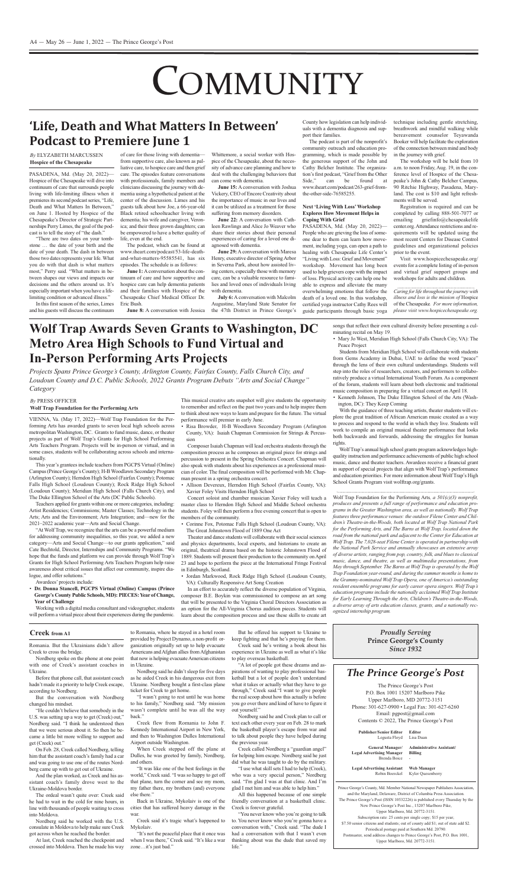**General manager/ Legal Advertising manager** Brenda Boice **Administrative Assistant/ Billing** -

**Legal Advertising Assistant** Robin Boerckel **Web manager** Kyler Quesenberry

# **COMMUNITY**

Prince George's County, Md. Member National Newspaper Publishers Association, and the Maryland, Delaware, District of Columbia Press Association. The Prince George's Post (ISSN 10532226) is published every Thursday by the New Prince George's Post Inc., 15207 Marlboro Pike, upper Marlboro, Md. 20772-3151. subscription rate: 25 cents per single copy; \$15 per year; \$7.50 senior citizens and students; out of county add \$1; out of state add \$2. periodical postage paid at southern Md. 20790. Postmaster, send address changes to Prince George's Post, P.O. Box 1001, upper Marlboro, Md. 20772-3151.

### *The Prince George's Post*

The Prince George's Post P.O. Box 1001 15207 Marlboro Pike Upper Marlboro, MD 20772-3151 phone: 301-627-0900 • legal Fax: 301-627-6260 email: pgpost@gmail.com Contents © 2022, The Prince George's Post

**Publisher/Senior Editor** legusta Floyd **Editor** Lisa Duan

"There are two dates on your tombstone … the date of your birth and the date of your death. The dash in between those two dates represents your life. What you do with that dash is what matters most," perry said. "What matters in between shapes our views and impacts our decisions and the others around us. It's especially important when you have a lifelimiting condition or advanced illness."

In this first season of the series, Limes and his guests will discuss the continuum

pasadena, Md. (May 20, 2022) hospice of the chesapeake will dive into continuum of care that surrounds people living with life-limiting illness when it premieres its second podcast series, "Life, Death and What Matters In Between," on June 1. hosted by hospice of the Chesapeake's Director of Strategic Partnerships perry limes, the goal of the podcast is to tell the story of "the dash."

Whittemore, a social worker with Hospice of the chesapeake, about the necessity of advance care planning and how to deal with the challenging behaviors that can come with dementia.

**June 15:** A conversation with Joshua Vickery, CEO of Encore Creativity about the importance of music in our lives and it can be utilized as a treatment for those suffering from memory disorders.

**June 22:** A conversation with Cathleen Rawlings and Alice Jo Weaver who share their stories about their personal experiences of caring for a loved one diagnosed with dementia.

**June 29:** A conversation with Maresa Henry, executive director of Spring Arbor in Severna Park, about how assisted living centers, especially those with memory care, can be a valuable resource to families and loved ones of individuals living with dementia.

**July 6:** A conversation with Malcolm Augustine, Maryland State Senator for the 47th District in Prince George's

The podcast is part of the nonprofit's community outreach and education programming, which is made possible by the generous support of the John and Cathy Belcher Institute. The organization's first podcast, "Grief from the Other side," can be found at www.iheart.com/podcast/263-grief-fromthe-other-side-76585255.

of care for those living with dementia from supportive care, also known as palliative care, to hospice care and then grief care. The episodes feature conversations with professionals, family members and clinicians discussing the journey with dementia using a hypothetical patient at the center of the discussion. limes and his guests talk about how Joe, a 66-year-old Black retired schoolteacher living with dementia; his wife and caregiver, veronica; and their three grown daughters; can be empowered to have a better quality of life, even at the end.

The podcast, which can be found at www.iheart.com/podcast/53-life-deathand-what-matters-95585541, has six episodes. The schedule is as follows:

**June 1:** A conversation about the continuum of care and how supportive and hospice care can help dementia patients and their families with hospice of the Chesapeake Chief Medical Officer Dr. Eric Bush.

**June 8:** A conversation with Jessica

The workshop will be held from 10 a.m. to noon Friday, Aug. 19, in the conference level of hospice of the chesapeake's John & cathy Belcher campus, 90 Ritchie Highway, Pasadena, Maryland. The cost is \$10 and light refreshments will be served.

Registration is required and can be completed by calling 888-501-7077 or emailing griefinfo@chesapeakelife center.org. Attendance restrictions and requirements will be updated using the most recent Centers for Disease Control guidelines and organizational policies prior to the event.

Romania. But the Ukrainians didn't allow creek to cross the bridge.

Nordberg spoke on the phone at one point with one of creek's assistant coaches in Ukraine.

Before that phone call, that assistant coach hadn't made it a priority to help Creek escape, according to Nordberg.

But the conversation with Nordberg changed his mindset.

"he couldn't believe that somebody in the U.S. was setting up a way to get (Creek) out," Nordberg said. "I think he understood then that we were serious about it. So then he became a little bit more willing to support and get (Creek) out."

On Feb. 28, Creek called Nordberg, telling him that the assistant coach's family had a car and was going to use one of the routes Nordberg came up with to get out of Ukraine.

And the plan worked, as Creek and his assistant coach's family drove west to the Ukraine-Moldova border.

The ordeal wasn't quite over: Creek said he had to wait in the cold for nine hours, in line with thousands of people waiting to cross into Moldova.

Nordberg said he worked with the U.S. consulate in Moldova to help make sure Creek got across when he reached the border.

At last, Creek reached the checkpoint and crossed into Moldova. Then he made his way

to Romania, where he stayed in a hotel room provided by Project Dynamo, a non-profit organization originally set up to help evacuate Americans and Afghan allies from Afghanistan that now is helping evacuate American citizens in Ukraine.

Nordberg said he didn't sleep for five days as he aided creek in his dangerous exit from Ukraine. Nordberg bought a first-class plane ticket for creek to get home.

county how legislation can help individuals with a dementia diagnosis and support their families.

Creek flew from Romania to John F. Kennedy International Airport in New York, and then to Washington Dulles International airport outside Washington.

Back in Ukraine, Mykolaiv is one of the cities that has suffered heavy damage in the war.

But he offered his support to Ukraine to keep fighting and that he's praying for them.

### **Next 'Living With Loss'Workshop Explores How movement Helps in Coping With Grief**

"A lot of people got these dreams and aspirations of wanting to play professional basketball but a lot of people don't understand what it takes or actually what they have to go through," creek said."i want to give people the real scoop about how this actually is before you go over there and kind of have to figure it out yourself."

Nordberg said he and Creek plan to call or text each other every year on Feb. 28 to mark the basketball player's escape from war and to talk about people they have helped during the previous year.

pasadena, Md. (May 20, 2022)— People who are grieving the loss of someone dear to them can learn how movement, including yoga, can open a path to healing with chesapeake life center's "Living with Loss: Grief and Movement" workshop. Movement has long been used to help grievers cope with the impact of loss. physical activity can help one be able to express and alleviate the many overwhelming emotions that follow the death of a loved one. in this workshop, certified yoga instructor Cathy Rees will guide participants through basic yoga

Creek called Nordberg a "guardian angel" for helping him escape. Nordberg said he just did what he was taught to do by the military.

"I use what skill sets I had to help (Creek), who was a very special person," Nordberg said. "I'm glad I was at that clinic. And I'm glad I met him and was able to help him."

technique including gentle stretching, breathwork and mindful walking while bereavement counselor Teyawanda Booker will help facilitate the exploration of the connection between mind and body in the journey with grief.

VIENNA, Va. (May 17, 2022)—Wolf Trap Foundation for the Performing Arts has awarded grants to seven local high schools across metropolitan Washington, DC. Grants to fund music, dance, or theater projects as part of Wolf Trap's Grants for High School Performing Arts Teachers Program. Projects will be in-person or virtual, and in some cases, students will be collaborating across schools and internationally.

This year's grantees include teachers from PGCPS Virtual (Online) Campus (Prince George's County); H-B Woodlawn Secondary Program (arlington county); herndon high school (Fairfax county); potomac Falls High School (Loudoun County); Rock Ridge High School

(loudoun county); Meridian high school (Falls church city), and The Duke Ellington School of the Arts (DC Public Schools).

Teachers applied for grants within one or more categories, including: Artist Residencies; Commissions; Master Classes; Technology in the Arts; Arts and the Environment; Arts Integration; and—new for the 2021–2022 academic year—arts and social change.

"At Wolf Trap, we recognize that the arts can be a powerful medium for addressing community inequalities, so this year, we added a new category-Arts and Social Change-to our grants application," said Cate Bechtold, Director, Internships and Community Programs. "We hope that the funds and platform we can provide through Wolf Trap's Grants for High School Performing Arts Teachers Program help raise awareness about critical issues that affect our community, inspire dialogue, and offer solutions."

visit www.hospicechesapeake.org/ events for a complete listing of in-person and virtual grief support groups and workshops for adults and children.

Working with a digital media consultant and videographer, students will perform a virtual piece about their experiences during the pandemic.

*Caring forlife throughout the journey with illness and loss is the mission of* hospice of the chesapeake*. For more information, please visit www.hospicechesapeake.org.*

This musical creative arts snapshot will give students the opportunity to remember and reflect on the past two years and to help inspire them to think about new ways to learn and prepare for the future. The virtual performance will premier in early June.

### **'Life, Death and What Matters In Between' Podcast to Premiere June 1**

• Risa Browder, H-B Woodlawn Secondary Program (Arlington County, VA): Isaiah Chapman Commission for Strings & Percussion

Composer Isaiah Chapman will lead orchestra students through the composition process as he composes an original piece for strings and percussion to present in the Spring Orchestra Concert. Chapman will also speak with students about his experiences as a professional musician of color. the final composition will be performed with Mr. chapman present in a spring orchestra concert.

• Allison Devereux, Herndon High School (Fairfax County, VA):

• corinne Fox, potomac Falls high school (loudoun county, va): The Great Johnstown Flood of 1889 One Act

Theater and dance students will collaborate with their social sciences and physics departments, local experts, and historians to create an original, theatrical drama based on the historic Johnstown Flood of 1889. Students will present their production to the community on April 23 and hope to perform the piece at the International Fringe Festival in Edinburgh, Scotland.

• Jordan Markwood, Rock Ridge High School (Loudoun County, VA): Culturally Responsive Art Song Creation

In an effort to accurately reflect the diverse population of Virginia, composer B.E. Boykin was commissioned to compose an art song that will be presented to the Virginia Choral Directors Association as an option for the all-virginia chorus audition pieces. students will learn about the composition process and use these skills to create art

With the guidance of three teaching artists, theater students will explore the great tradition of African American music created as a way to process and respond to the world in which they live. Students will work to compile an original musical theater performance that looks both backwards and forwards, addressing the struggles for human rights.

Wolf Trap's annual high school grants program acknowledges highquality instruction and performance achievements of public high school music, dance and theater teachers. Awardees receive a financial grant in support of special projects that align with Wolf Trap's performance and education priorities. For more information about Wolf Trap's High School Grants Program visit wolftrap.org/grants.

"i wasn't going to rest until he was home to his family," Nordberg said. "My mission wasn't complete until he was all the way back."

When creek stepped off the plane at Dulles, he was greeted by family, Nordberg, and others.

"it was like one of the best feelings in the world," Creek said. "I was so happy to get off that plane, turn the corner and see my mom, my father there, my brothers (and) everyone else there."

creek said it's tragic what's happened to Mykolaiv.

"it's not the peaceful place that it once was when I was there," Creek said. "It's like a war zone…it's just bad."

creek said he's writing a book about his experience in Ukraine as well as what it's like to play overseas basketball.

all this happened because of one simple friendly conversation at a basketball clinic. creek is forever grateful.

"you never know who you're going to talk to. You never know who you're gonna have a conversation with," Creek said. "The dude I had a conversation with that I wasn't even thinking about was the dude that saved my life."

### **Creek from A1**

awardees' projects include:

• **Dr. Donna Stancell, PGCPS Virtual (Online) Campus (Prince George's County Public Schools, MD): PIECES: Year of Change, year of Challenge**

Xavier Foley visits herndon high school

concert soloist and chamber musician Xavier Foley will teach a master class to Herndon High School and Middle School orchestra students. Foley will then perform a free evening concert that is open to members of the community.

songs that reflect their own cultural diversity before presenting a culminating recital on May 19.

• Mary Jo West, Meridian High School (Falls Church City, VA): The Peace Project

Students from Meridian High School will collaborate with students from Gems Academy in Dubai, UAE to define the word "peace" through the lens of their own cultural understandings. Students will step into the roles of researchers, creators, and performers to collaboratively produce a virtual International Youth Forum. As a component of the forum, students will learn about both electronic and traditional music composition in preparing for a virtual concert on April 18.

• Kenneth Johnson, The Duke Ellington School of the Arts (Washington, DC): They Keep Coming

Wolf trap Foundation for the performing arts*, a 501(c)(3) nonprofit, produces and presents a full range of performance and education programs in the Greater Washington area, as well as nationally. Wolf Trap featuresthree performance venues: the outdoor Filene Center and Children's Theatre-in-the-Woods, both located at Wolf Trap National Park for the Performing Arts, and The Barns at Wolf Trap, located down the road from the national park and adjacent to the Center for Education at Wolf Trap. The 7,028-seat Filene Centeris operated in partnership with the National Park Service and annually showcases an extensive array of diverse artists, ranging from pop, country, folk, and blues to classical music, dance, and theatre, as well as multimedia presentations, from May through September. The Barns at Wolf Trap is operated by the Wolf Trap Foundation year-round, and during the summer monthsis home to the Grammy-nominated Wolf Trap Opera, one of America's outstanding resident ensemble programs for early career opera singers. Wolf Trap's education programsinclude the nationally acclaimed Wolf Trap Institute for Early Learning Through the Arts, Children's Theatre-in-the-Woods, a diverse array of arts education classes, grants, and a nationally recognized internship program.*

### *By* press oFFicer **Wolf trap Foundation for the Performing Arts**

### **Wolf trap Awards Seven Grants to Washington, DC metro Area High Schools to Fund Virtual and in-Person Performing Arts Projects**

*Projects Spans Prince George's County, Arlington County, Fairfax County, Falls Church City, and Loudoun County and D.C. Public Schools, 2022 Grants Program Debuts "Arts and Social Change" Category*

*By* elyzaBeth Marcussen **Hospice of the Chesapeake**

*Proudly Serving*

### **Prince George's County** *Since 1932*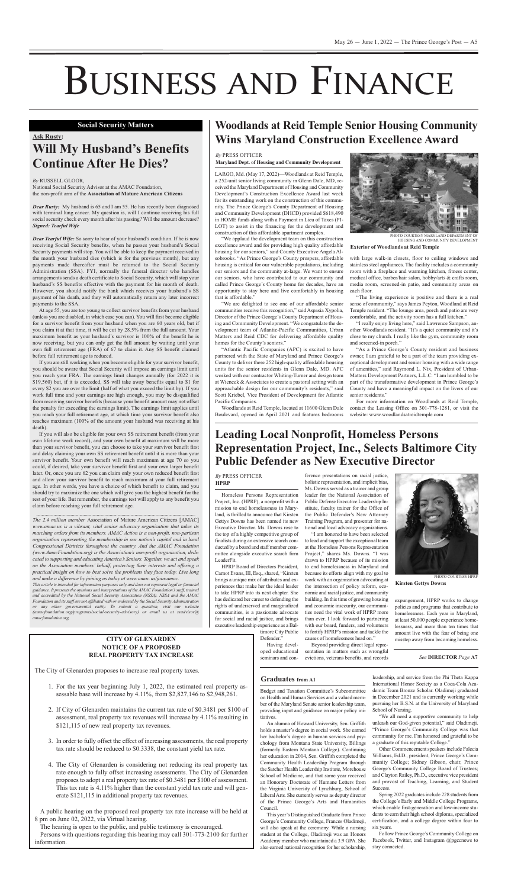Budget and Taxation Committee's Subcommittee on Health and Human Services and a valued member of the Maryland Senate senior leadership team, providing input and guidance on major policy initiatives.

An alumna of Howard University, Sen. Griffith holds a master's degree in social work. She earned her bachelor's degree in human services and psychology from Montana State University, Billings (formerly Eastern Montana College). Continuing her education in 2014, Sen. Griffith completed the community health leadership program through the Satcher Health Leadership Institute, Morehouse school of Medicine, and that same year received an Honorary Doctorate of Humane Letters from the virginia university of lynchburg, school of Liberal Arts. She currently serves as deputy director of the Prince George's Arts and Humanities council.

This year's Distinguished Graduate from Prince George's Community College, Frances Oladimeji, will also speak at the ceremony. While a nursing student at the College, Oladimeji was an Honors Academy member who maintained a 3.9 GPA. She also earned national recognition for her scholarship,

Other Commencement speakers include Falecia Williams, Ed.D., president, Prince George's Community college; sidney gibson, chair, prince George's Community College Board of Trustees; and Clayton Railey, Ph.D., executive vice president and provost of Teaching, Learning, and Student success.

Spring 2022 graduates include 228 students from the College's Early and Middle College Programs, which enable first-generation and low-income students to earn their high school diploma, specialized certification, and a college degree within four to six years.

Follow Prince George's Community College on Facebook, Twitter, and Instagram @pgccnews to stay connected.

PHOTO COURTESY HPRP

"We all need a supportive community to help unleash our God-given potential," said Oladimeji. "prince george's community college was that community for me. I'm honored and grateful to be a graduate of this reputable college."

HPRP Board of Directors President, Carnot Evans, III, Esq., shared, "Kirsten brings a unique mix of attributes and experiences that make her the ideal leader to take HPRP into its next chapter. She has dedicated her career to defending the rights of underserved and marginalized communities, is a passionate advocate for social and racial justice, and brings executive leadership experience as a Bal-

timore city public Defender."

Ms. Downs served as a trainer and group leader for the National Association of Public Defense Executive Leadership Institute, faculty trainer for the office of the Public Defender's New Attorney Training Program, and presenter for national and local advocacy organizations.

> expungement, HPRP works to change policies and programs that contribute to homelessness. Each year in Maryland, at least 50,000 people experience homelessness, and more than ten times that amount live with the fear of being one misstep away from becoming homeless.

LARGO, Md. (May 17, 2022)—Woodlands at Reid Temple, a 252-unit senior living community in Glenn Dale, MD, received the Maryland Department of Housing and Community Development's Construction Excellence Award last week for its outstanding work on the construction of this community. The Prince George's County Department of Housing and Community Development (DHCD) provided \$618,490 in HOME funds along with a Payment in Lieu of Taxes (PI-LOT) to assist in the financing for the development and construction of this affordable apartment complex.

"We are delighted to see one of our affordable senior communities receive this recognition," said Aspasia Xypolia, Director of the Prince George's County Department of Housing and Community Development. "We congratulate the development team of Atlantic-Pacific Communities, Urban Matters and Reid CDC for delivering affordable quality homes for the County's seniors."

"Atlantic Pacific Companies (APC) is excited to have partnered with the State of Maryland and Prince George's county to deliver these 252 high-quality affordable housing units for the senior residents in Glenn Dale, MD. APC worked with our contractor Whiting-Turner and design team at Wiencek & Associates to create a pastoral setting with an approachable design for our community's residents," said Scott Kriebel, Vice President of Development for Atlantic Pacific Companies.

> having developed educational seminars and con-

ference presentations on racial justice, holistic representation, and implicit bias,



Woodlands at Reid Temple, located at 11600 Glenn Dale Boulevard, opened in april 2021 and features bedrooms

"The living experience is positive and there is a real sense of community," says James Peyton, Woodland at Reid Temple resident. "The lounge area, porch and patio are very comfortable, and the activity room has a full kitchen."

"I really enjoy living here," said Lawrence Sampson, another Woodlands resident. "It's a quiet community and it's close to my church. i really like the gym, community room and screened-in porch."

"i am honored to have been selected to lead and support the exceptional team at the Homeless Persons Representation Project," shares Ms. Downs. "I was drawn to HPRP because of its mission to end homelessness in Maryland and because its efforts align with my goal to work with an organization advocating at the intersection of policy reform, economic and racial justice, and community building. In this time of growing housing and economic insecurity, our communities need the vital work of HPRP more than ever. I look forward to partnering with our board, funders, and volunteers to fortify HPRP's mission and tackle the causes of homelessness head on."

"As a Prince George's County resident and business owner, I am grateful to be a part of the team providing exceptional development and senior housing with a wide range of amenities," said Raymond L. Nix, President of Urban-Matters Development Partners, L.L.C. "I am humbled to be part of the transformative development in Prince George's county and have a meaningful impact on the livers of our senior residents."

For more information on Woodlands at Reid Temple, contact the leasing office on 301-778-1281, or visit the website: www.woodlandsatreidtemple.com

National Social Security Advisor at the AMAC Foundation, the non-profit arm of the **Association of mature American Citizens**

> Beyond providing direct legal representation in matters such as wrongful evictions, veterans benefits, and records

> > leadership, and service from the Phi Theta Kappa International Honor Society as a Coca-Cola Academic Team Bronze Scholar. Oladimeji graduated in December 2021 and is currently working while pursuing her B.S.N. at the University of Maryland School of Nursing.

*Dear Rusty:* My husband is 65 and I am 55. He has recently been diagnosed with terminal lung cancer. My question is, will I continue receiving his full social security check every month after his passing? Will the amount decrease? *Signed: Tearful Wife*

*Dear Tearful Wife:* So sorry to hear of your husband's condition. If he is now receiving Social Security benefits, when he passes your husband's Social Security payments will stop. You will be able to keep the payment received in the month your husband dies (which is for the previous month), but any payments made thereafter must be returned to the Social Security Administration (SSA). FYI, normally the funeral director who handles arrangements sends a death certificate to social security, which will stop your husband's SS benefits effective with the payment for his month of death. However, you should notify the bank which receives your husband's SS payment of his death, and they will automatically return any later incorrect payments to the SSA.

At age 55, you are too young to collect survivor benefits from your husband (unless you are disabled, in which case you can). you will first become eligible for a survivor benefit from your husband when you are 60 years old, but if you claim it at that time, it will be cut by 28.5% from the full amount. your maximum benefit as your husband's survivor is 100% of the benefit he is now receiving, but you can only get the full amount by waiting until your own full retirement age (FRA) of 67 to claim it. Any SS benefit claimed before full retirement age is reduced.

"We applaud the development team on this construction excellence award and for providing high quality affordable housing for our seniors," said County Executive Angela Alsobrooks. "As Prince George's County prospers, affordable housing is critical for our vulnerable populations, including our seniors and the community at-large. We want to ensure our seniors, who have contributed to our community and called Prince George's County home for decades, have an opportunity to stay here and live comfortably in housing that is affordable."

If you will also be eligible for your own SS retirement benefit (from your own lifetime work record), and your own benefit at maximum will be more than your survivor benefit, you can choose to take your survivor benefit first and delay claiming your own SS retirement benefit until it is more than your survivor benefit. your own benefit will reach maximum at age 70 so you could, if desired, take your survivor benefit first and your own larger benefit later. Or, once you are 62 you can claim only your own reduced benefit first and allow your survivor benefit to reach maximum at your full retirement age. in other words, you have a choice of which benefit to claim, and you should try to maximize the one which will give you the highest benefit for the rest of your life. But remember, the earnings test will apply to any benefit you claim before reaching your full retirement age.

*The* 2.4 *million member* Association of Mature American Citizens [AMAC] *www.amac.us is a vibrant, vital senior advocacy organization that takes its marching orders from its members. AMAC Action is a non-profit, non-partisan organization representing the membership in our nation's capital and in local Congressional Districts throughout the country. And the AMAC Foundation (www.AmacFoundation.org) is the Association's non-profit organization, dedicated to supporting and educating America's Seniors. Together, we act and speak on the Association members' behalf, protecting their interests and offering a practical insight on how to best solve the problems they face today. Live long and make a difference by joining us today at www.amac.us/join-amac.*

with large walk-in closets, floor to ceiling windows and stainless steel appliances. The facility includes a community room with a fireplace and warming kitchen, fitness center, medical office, barber/hair salon, hobby/arts & crafts room, media room, screened-in patio, and community areas on each floor.

The hearing is open to the public, and public testimony is encouraged. persons with questions regarding this hearing may call 301-773-2100 for further information.

Homeless Persons Representation Project, Inc. (HPRP), a nonprofit with a mission to end homelessness in Maryland, is thrilled to announce that Kirsten Gettys Downs has been named its new Executive Director. Ms. Downs rose to the top of a highly competitive group of finalists during an extensive search conducted by a board and staff member committee alongside executive search firm LeaderFit.

*See* **DiRECtOR** *Page* **A7**



photo courtesy Maryland departMent oF housing and coMMunity developMent

**Exterior of Woodlands at Reid temple**

**kirsten Gettys Downs**

*By* press oFFicer **HPRP**

### *By* press oFFicer

### **maryland Dept. of Housing and Community Development**

### **Graduates from A1**

# BUSINESS AND FINANCE

### **Ask Rusty:**

### **Will my Husband's Benefits Continue After He Dies?**

#### *By* russell gloor,

if you are still working when you become eligible for your survivor benefit, you should be aware that Social Security will impose an earnings limit until you reach your FRA. The earnings limit changes annually (for 2022 it is \$19,560) but, if it is exceeded, ss will take away benefits equal to \$1 for every \$2 you are over the limit (half of what you exceed the limit by). if you work full time and your earnings are high enough, you may be disqualified from receiving survivor benefits (because your benefit amount may not offset the penalty for exceeding the earnings limit). The earnings limit applies until you reach your full retirement age, at which time your survivor benefit also reaches maximum (100% of the amount your husband was receiving at his death).

*This article isintended forinformation purposes only and does notrepresent legal orfinancial guidance. It presents the opinions and interpretations of the AMAC Foundation's staff, trained and accredited by the National Social Security Association (NSSA). NSSA and the AMAC Foundation and itsstaff are not affiliated with or endorsed by the Social Security Administration or any other governmental entity. To submit a question, visit our website (amacfoundation.org/programs/social-security-advisory) or email us at ssadvisor@ amacfoundation.org.*

### **Social Security matters**

### **Leading Local Nonprofit, Homeless Persons Representation Project, inc., Selects Baltimore City Public Defender as New Executive Director**

### **Woodlands at Reid temple Senior Housing Community Wins maryland Construction Excellence Award**

### **City OF GLENARDEN NOtiCE OF A PROPOSED REAL PROPERty tAX iNCREASE**

The City of Glenarden proposes to increase real property taxes.

- 1. For the tax year beginning July 1, 2022, the estimated real property assessable base will increase by 4.11%, from \$2,827,146 to \$2,948,261.
- 2. if city of glenarden maintains the current tax rate of \$0.3481 per \$100 of assessment, real property tax revenues will increase by 4.11% resulting in \$121,115 of new real property tax revenues.
- 3. in order to fully offset the effect of increasing assessments, the real property tax rate should be reduced to \$0.3338, the constant yield tax rate.
- 4. the city of glenarden is considering not reducing its real property tax rate enough to fully offset increasing assessments. The City of Glenarden proposes to adopt a real property tax rate of \$0.3481 per \$100 of assessment. This tax rate is 4.11% higher than the constant yield tax rate and will generate \$121,115 in additional property tax revenues.

a public hearing on the proposed real property tax rate increase will be held at 8 pm on June 02, 2022, via virtual hearing.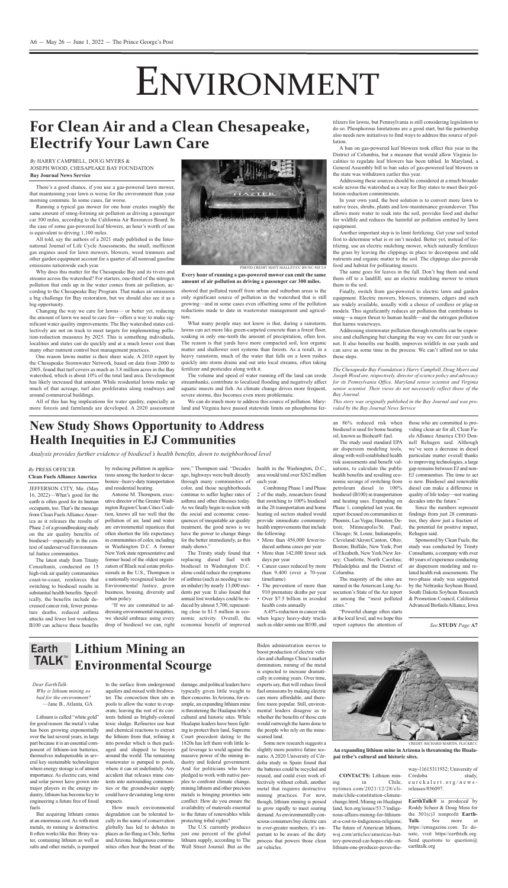JEFFERSON CITY, Mo. (May 16, 2022)—What's good for the earth is often good for its human occupants, too. That's the message from Clean Fuels Alliance America as it releases the results of phase 2 of a groundbreaking study on the air quality benefits of biodiesel—especially in the context of underserved Environmental Justice communities.

The latest study from Trinity consultants, conducted on 15 high-risk air quality communities coast-to-coast, reinforces that switching to biodiesel results in substantial health benefits. Specifically, the benefits include decreased cancer risk, fewer premature deaths, reduced asthma attacks and fewer lost workdays. B100 can achieve these benefits

Antoine M. Thompson, executive director of the Greater Washington Region Clean Cities Coalition, knows all too well that the pollution of air, land and water are environmental injustices that often shorten the life expectancy in communities of color, including in Washington D.C. A former New York state representative and former head of the oldest organization of Black real estate professionals in the U.S., Thompson is a nationally recognized leader for Environmental Justice, green business, housing, diversity and urban policy.

and residential heating.

Combining Phase 1 and Phase 2 of the study, researchers found that switching to 100% biodiesel in the 28 transportation and home heating oil sectors studied would provide immediate community health improvements that include the following:

"if we are committed to addressing environmental inequities, we should embrace using every drop of biodiesel we can, right

a45% reduction in cancer risk when legacy heavy-duty trucks such as older semis use B100, and

tions among the hardest to decar-ago, highways were built directly bonize –heavy-duty transportation through many communities of color, and those neighborhoods continue to suffer higher rates of asthma and other illnesses today. As we finally begin to reckon with the social and economic consequences of inequitable air quality treatment, the good news is we have the power to change things for the better immediately, as this study shows." The Trinity study found that replacing diesel fuel with biodiesel in Washington D.C. alone could reduce the symptoms of asthma (such as needing to use an inhaler) by nearly 13,000 incidents per year. it also found that annual lost workdays could be reduced by almost 5,700, representing close to \$1.5 million in economic activity. Overall, the economic benefit of improved

The study used standard EPA air dispersion modeling tools, along with well-established health risk assessments and benefit valuations, to calculate the public health benefits and resulting economic savings of switching from petroleum diesel to 100% biodiesel (B100) in transportation and heating uses. Expanding on phase 1, completed last year, the report focused on communities in Phoenix; Las Vegas; Houston; Detroit; Minneapolis/St. Paul; chicago; st. louis; indianapolis; cleveland/akron/canton, ohio; Boston; Buffalo, new york; port of Elizabeth, New York/New Jersey; Charlotte, North Carolina; Philadelphia and the District of columbia.

The majority of the sites are named in the American Lung Association's State of the Air report as among the "most polluted cities."

since the numbers represent findings from just 28 communities, they show just a fraction of the potential for positive impact, Rehagen said.

sponsored by clean Fuels, the study was conducted by Trinity consultants, a company with over 40 years of experience conducting air dispersion modeling and related health risk assessments. The two-phase study was supported by the Nebraska Soybean Board, South Dakota Soybean Research & promotion council, california Advanced Biofuels Alliance, Iowa

area would total over \$262 million each year.

There's a good chance, if you use a gas-powered lawn mower, that maintaining your lawn is worse for the environment than your morning commute. in some cases, far worse.

Running a typical gas mower for one hour creates roughly the same amount of smog-forming air pollution as driving a passenger car 300 miles, according to the California Air Resources Board. In the case of some gas-powered leaf blowers, an hour's worth of use is equivalent to driving 1,100 miles.

- More than 456,000 fewer/reduced asthma cases per year
- More than 142,000 fewer sick days per year
- Cancer cases reduced by more than 9,400 (over a 70-year timeframe)
- The prevention of more than 910 premature deaths per year Over \$7.5 billion in avoided health costs annually

All told, say the authors of a 2021 study published in the International Journal of life cycle assessments, the small, inefficient gas engines used for lawn mowers, blowers, weed trimmers and other garden equipment account for a quarter of all nonroad gasoline emissions nationwide each year.

> an 86% reduced risk when biodiesel is used for home heating oil, known as Bioheat® fuel.

One reason lawns matter is their sheer scale. A 2010 report by the Chesapeake Stormwater Network, based on data from 2000 to 2005, found that turf covers as much as 3.8 million acres in the Bay watershed, which is about  $10\%$  of the total land area. Development has likely increased that amount. While residential lawns make up much of that acreage, turf also proliferates along roadways and around commercial buildings.

all of this has big implications for water quality, especially as more forests and farmlands are developed. A 2020 assessment

> "powerful change often starts at the local level, and we hope this report captures the attention of

The volume and speed of water running off the land can erode streambanks, contribute to localized flooding and negatively affect aquatic insects and fish. as climate change drives more frequent, severe storms, this becomes even more problematic.

> those who are committed to providing clean air for all, clean Fuels Alliance America CEO Donnell Rehagen said. Although we've seen a decrease in diesel particulate matter overall thanks to improving technologies, a large gap remains between EJ and non-EJ communities. The time to act is now. Biodiesel and renewable diesel can make a difference in quality of life today—not waiting decades into the future."

In your own yard, the best solution is to convert more lawn to native trees, shrubs, plants and low-maintenance groundcover. this allows more water to soak into the soil, provides food and shelter for wildlife and reduces the harmful air pollution emitted by lawn equipment.

Another important step is to limit fertilizing. Get your soil tested first to determine what is or isn't needed. Better yet, instead of fertilizing, use an electric mulching mower, which naturally fertilizes the grass by leaving the clippings in place to decompose and add nutrients and organic matter to the soil. The clippings also provide food and habitat for pollinating insects.

The same goes for leaves in the fall. Don't bag them and send them off to a landfill; use an electric mulching mower to return them to the soil.

Lithium is called "white gold" for good reason: the metal's value has been growing exponentially over the last several years, in large part because it is an essential component of lithium-ion batteries, themselves indispensable in several key sustainable technologies where energy storage is of utmost importance. As electric cars, wind and solar power have grown into major players in the energy industry, lithium has become key to engineering a future free of fossil fuels.

Why does this matter for the chesapeake Bay and its rivers and streams across the watershed? For starters, one-third of the nitrogen pollution that ends up in the water comes from air pollution, according to the Chesapeake Bay Program. That makes air emissions a big challenge for Bay restoration, but we should also see it as a big opportunity.

> How much environmental degradation can be tolerated locally in the name of conservation globally has led to debates in places as far-flung as Chile, Serbia and Arizona. Indigenous communities often bear the brunt of the

changing the way we care for lawns— or better yet, reducing the amount of lawn we need to care for—offers a way to make significant water quality improvements. the Bay watershed states collectively are not on track to meet targets for implementing pollution-reduction measures by 2025. This is something individuals, localities and states can do quickly and at a much lower cost than many other nutrient control best management practices.

> The U.S. currently produces just one percent of the global lithium supply, according to The Wall street Journal. But as the

### **CONTACTS:** Lithium mining in chile, nytimes.com/2021/12/28/cli-

showed that polluted runoff from urban and suburban areas is the only significant source of pollution in the watershed that is still growing—and in some cases even offsetting some of the pollution reductions made to date in wastewater management and agriculture.

> way-11615311932; University of córdoba study, e u r e k a l e r t . o r g / n e w s releases/856097.

**EarthTalk®** is produced by Roddy Scheer & Doug Moss for the 501(c)3 nonprofit **Earthtalk**. see more at https://emagazine.com. To donate, visit https//earthtalk.org. Send questions to: question $\omega$ earthtalk.org

### **Lithium mining an Environmental Scourge** Earth TALK<sup>™</sup>

What many people may not know is that, during a rainstorm, lawns can act more like green-carpeted concrete than a forest floor, soaking in only one-tenth the amount of precipitation, often less. The reason is that yards have more compacted soil, less organic matter and shallower root systems than forests. As a result, in a heavy rainstorm, much of the water that falls on a lawn rushes quickly into storm drains and out into local streams, often taking fertilizer and pesticides along with it.

We can do much more to address this source of pollution. Maryland and virginia have passed statewide limits on phosphorus fertilizers for lawns, but pennsylvania is still considering legislation to do so. Phosphorous limitations are a good start, but the partnership also needs new initiatives to find ways to address this source of pollution.

a ban on gas-powered leaf blowers took effect this year in the District of Columbia, but a measure that would allow Virginia localities to regulate leaf blowers has been tabled. in Maryland, a General Assembly bill to ban sales of gas-powered leaf blowers in the state was withdrawn earlier this year.

addressing these sources should be considered at a much broader scale across the watershed as a way for Bay states to meet their pollution-reduction commitments.

Finally, switch from gas-powered to electric lawn and garden equipment. Electric mowers, blowers, trimmers, edgers and such are widely available, usually with a choice of cordless or plug-in models. This significantly reduces air pollution that contributes to smog—a major threat to human health—and the nitrogen pollution that harms waterways.

addressing stormwater pollution through retrofits can be expensive and challenging but changing the way we care for our yards is not. it also benefits our health, improves wildlife in our yards and can save us some time in the process. We can't afford not to take these steps.

*The Chesapeake Bay Foundation's Harry Campbell, Doug Myers and Joseph Wood are, respectively, director of science policy and advocacy for its Pennsylvania Office, Maryland senior scientist and Virginia senior scientist. Their views do not necessarily reflect those of the Bay Journal.*

*This story was originally published in the Bay Journal and was provided by the Bay Journal News Service*

# ENVIRONMENT

### *Dear EarthTalk:*

*Why is lithium mining so bad for the environment?* —Jane B., atlanta, ga

But acquiring lithium comes at an enormous cost. As with most metals, its mining is destructive. It often works like this: Briny water, containing lithium as well as salts and other metals, is pumped

to the surface from underground aquifers and mixed with freshwater. the concoction then sits in pools to allow the water to evaporate, leaving the rest of its contents behind as brightly-colored toxic sludge. Refineries use heat and chemical reactions to extract the lithium from that, refining it into powder which is then packaged and shipped to buyers around the world. The remaining wastewater is pumped to pools, where it can sit indefinitely. Any accident that releases mine contents into surrounding communities or the groundwater supply could have devastating long-term impacts.

damage, and political leaders have typically given little weight to their concerns. In Arizona, for example, an expanding lithium mine is threatening the Hualapai tribe's cultural and historic sites. While hualapai leaders have been fighting to protect their land, supreme court precedent dating to the 1820s has left them with little legal leverage to wield against the massive power of the mining industry and federal government. And for politicians who have pledged to work with native peoples to confront climate change, mining lithium and other precious metals is bringing priorities into conflict: how do you ensure the availability of materials essential to the future of renewables while protecting tribal rights?

Biden administration moves to boost production of electric vehicles and challenge china's market domination, mining of the metal is expected to increase dramatically in coming years. Over time, experts say, that will reduce fossil fuel emissions by making electric cars more affordable, and therefore more popular. still, environmental leaders disagree as to whether the benefits of those cuts would outweigh the harm done to the people who rely on the minescarred land.

some new research suggests a slightly more positive future scenario. A 2020 University of Córdoba study in Spain found that the batteries could be recycled and reused, and could even work effectively without cobalt, another metal that requires destructive mining practices. For now, though, lithium mining is poised to grow rapidly to meet soaring demand. As environmentally conscious consumers buy electric cars in ever-greater numbers, it's important to be aware of the dirty process that powers those clean air vehicles.

mate/chile-constitution-climatechange.html; Mining on Hualapai land, hcn.org/issues/53.7/indigenous-affairs-mining-for-lithiumat-a-cost-to-indigenous-religions; The future of American lithium, wsj.com/articles/americas-battery-powered-car-hopes-ride-onlithium-one-producer-paves-the-



credit: richard Martin, FlicKrcc

**An expanding lithium mine in Arizona is threatening the Hualapai tribe's cultural and historic sites.**

*By* harry caMpBell, doug Myers & Joseph Wood, chesapeaKe Bay Foundation **Bay Journal News Service**

## **For Clean Air and a Clean Chesapeake, Electrify Your Lawn Care**

*By* press oFFicer

**Clean Fuels Alliance America**

by reducing pollution in applica- now," Thompson said. "Decades health in the Washington, D.C.,

### **New Study Shows Opportunity to Address Health inequities in EJ Communities**

*Analysis provides further evidence of biodiesel's health benefits, down to neighborhood level*



photo credit Matt Mallet/cc By-nc-nd 2.0

**Every hour of running a gas-powered mower can emit the same amount of air pollution as driving a passenger car 300 miles.**

*See* **StUDy** *Page* **A7**